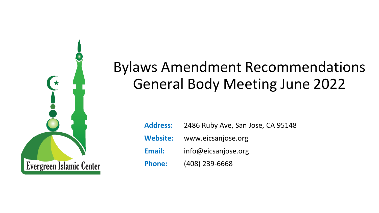

# Bylaws Amendment Recommendations General Body Meeting June 2022

| <b>Address:</b> | 2486 Ruby Ave, San Jose, CA 95148 |
|-----------------|-----------------------------------|
|                 | Website: www.eicsanjose.org       |
| Email:          | info@eicsanjose.org               |
| <b>Phone:</b>   | (408) 239-6668                    |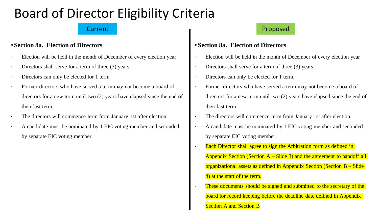# Board of Director Eligibility Criteria

### • **Section 8a. Election of Directors**

- ∙ Election will be held in the month of December of every election year
- Directors shall serve for a term of three (3) years.
- ∙ Directors can only be elected for 1 term.
- Former directors who have served a term may not become a board of directors for a new term until two (2) years have elapsed since the end of their last term.
- The directors will commence term from January 1st after election.
- ∙ A candidate must be nominated by 1 EIC voting member and seconded by separate EIC voting member.

## Current **Current Proposed**

## • **Section 8a. Election of Directors**

- ∙ Election will be held in the month of December of every election year
- Directors shall serve for a term of three (3) years.
- ∙ Directors can only be elected for 1 term.
- Former directors who have served a term may not become a board of directors for a new term until two (2) years have elapsed since the end of their last term.
- The directors will commence term from January 1st after election.
- ∙ A candidate must be nominated by 1 EIC voting member and seconded by separate EIC voting member.
- Each Director shall agree to sign the Arbitration form as defined in Appendix Section (Section  $A - S$ lide 3) and the agreement to handoff all organizational assets as defined in Appendix Section (Section B – Slide 4) at the start of the term.
- These documents should be signed and submitted to the secretary of the board for record keeping before the deadline date defined in Appendix Section A and Section B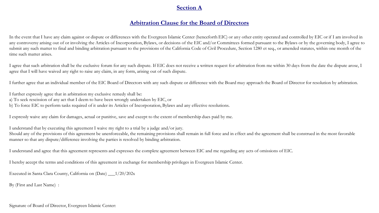#### **Section A**

#### **Arbitration Clause for the Board of Directors**

In the event that I have any claim against or dispute or differences with the Evergreen Islamic Center (henceforth EIC) or any other entity operated and controlled by EIC or if I am involved in any controversy arising out of or involving the Articles of Incorporation, Bylaws, or decisions of the EIC and/or Committees formed pursuant to the Bylaws or by the governing body, I agree to submit any such matter to final and binding arbitration pursuant to the provisions of the California Code of Civil Procedure, Section 1280 et seq., or amended statutes, within one month of the time such matter arises.

I agree that such arbitration shall be the exclusive forum for any such dispute. If EIC does not receive a written request for arbitration from me within 30 days from the date the dispute arose, I agree that I will have waived any right to raise any claim, in any form, arising out of such dispute.

I further agree that an individual member of the EIC Board of Directors with any such dispute or difference with the Board may approach the Board of Director for resolution by arbitration.

I further expressly agree that in arbitration my exclusive remedy shall be:

a) To seek rescission of any act that I deem to have been wrongly undertaken by EIC, or

b) To force EIC to perform tasks required of it under its Articles of Incorporation, Bylaws and any effective resolutions.

I expressly waive any claim for damages, actual or punitive, save and except to the extent of membership dues paid by me.

I understand that by executing this agreement I waive my right to a trial by a judge and/or jury.

Should any of the provisions of this agreement be unenforceable, the remaining provisions shall remain in full force and in effect and the agreement shall be construed in the most favorable manner so that any dispute/difference involving the parties is resolved by binding arbitration.

I understand and agree that this agreement represents and expresses the complete agreement between EIC and me regarding any acts of omissions of EIC.

I hereby accept the terms and conditions of this agreement in exchange for membership privileges in Evergreen Islamic Center.

Executed in Santa Clara County, California on (Date) \_\_\_1/20/202x

By (First and Last Name) :

Signature of Board of Director, Evergreen Islamic Center: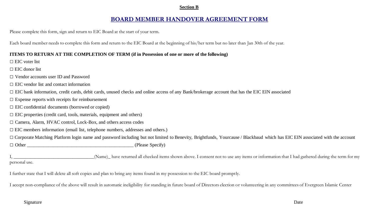#### **Section B**

#### **BOARD MEMBER HANDOVER AGREEMENT FORM**

Please complete this form, sign and return to EIC Board at the start of your term.

Each board member needs to complete this form and return to the EIC Board at the beginning of his/her term but no later than Jan 30th of the year.

#### **ITEMS TO RETURN AT THE COMPLETION OF TERM (if in Possession of one or more of the following)**

□ EIC voter list

 $\Box$  EIC donor list

- □ Vendor accounts user ID and Password
- $\Box$  EIC vendor list and contact information
- □ EIC bank information, credit cards, debit cards, unused checks and online access of any Bank/brokerage account that has the EIC EIN associated
- $\square$  Expense reports with receipts for reimbursement
- $\square$  EIC confidential documents (borrowed or copied)
- $\Box$  EIC properties (credit card, tools, materials, equipment and others)
- □ Camera, Alarm, HVAC control, Lock-Box, and others access codes
- $\Box$  EIC members information (email list, telephone numbers, addresses and others.)

□ Corporate Matching Platform login name and password including but not limited to Benevity, Brightfunds, Yourcause / Blackbaud which has EIC EIN associated with the account □ Other \_\_\_\_\_\_\_\_\_\_\_\_\_\_\_\_\_\_\_\_\_\_\_\_\_\_\_\_\_\_\_\_\_\_\_\_\_\_\_\_\_\_\_\_\_ (Please Specify)

(Name) have returned all checked items shown above. I consent not to use any items or information that I had gathered during the term for my personal use.

I further state that I will delete all soft copies and plan to bring any items found in my possession to the EIC board promptly.

I accept non-compliance of the above will result in automatic ineligibility for standing in future board of Directors election or volunteering in any committees of Evergreen Islamic Center

#### Signature **Date**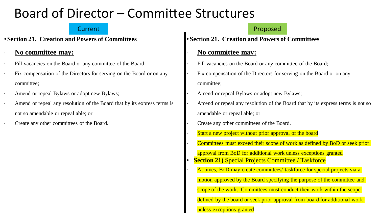# Board of Director – Committee Structures

• **Section 21. Creation and Powers of Committees**

## ∙ **No committee may:**

- Fill vacancies on the Board or any committee of the Board;
- Fix compensation of the Directors for serving on the Board or on any committee;
- ∙ Amend or repeal Bylaws or adopt new Bylaws;
- ∙ Amend or repeal any resolution of the Board that by its express terms is not so amendable or repeal able; or
- ∙ Create any other committees of the Board.

## **Current Proposed Eurer According to the Current Proposed**

• **Section 21. Creation and Powers of Committees**

## ∙ **No committee may:**

- Fill vacancies on the Board or any committee of the Board;
- Fix compensation of the Directors for serving on the Board or on any committee;
- ∙ Amend or repeal Bylaws or adopt new Bylaws;
- Amend or repeal any resolution of the Board that by its express terms is not so amendable or repeal able; or
- ∙ Create any other committees of the Board.
- Start a new project without prior approval of the board

∙ Committees must exceed their scope of work as defined by BoD or seek prior

- approval from BoD for additional work unless exceptions granted
- **Section 21) Special Projects Committee / Taskforce** 
	- At times, BoD may create committees/ taskforce for special projects via a
	- motion approved by the Board specifying the purpose of the committee and

scope of the work. Committees must conduct their work within the scope

defined by the board or seek prior approval from board for additional work

#### unless exceptions granted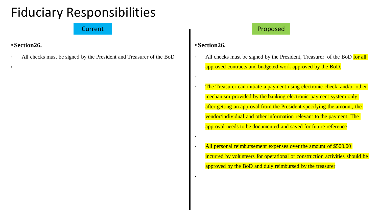# Fiduciary Responsibilities

## • **Section26.**

•

∙ All checks must be signed by the President and Treasurer of the BoD

## Current **Current Proposed**

## • **Section26.**

∙

∙

•

- All checks must be signed by the President, Treasurer of the BoD for all approved contracts and budgeted work approved by the BoD.
- The Treasurer can initiate a payment using electronic check, and/or other mechanism provided by the banking electronic payment system only after getting an approval from the President specifying the amount, the vendor/individual and other information relevant to the payment. The approval needs to be documented and saved for future reference
- All personal reimbursement expenses over the amount of \$500.00 incurred by volunteers for operational or construction activities should be approved by the BoD and duly reimbursed by the treasurer